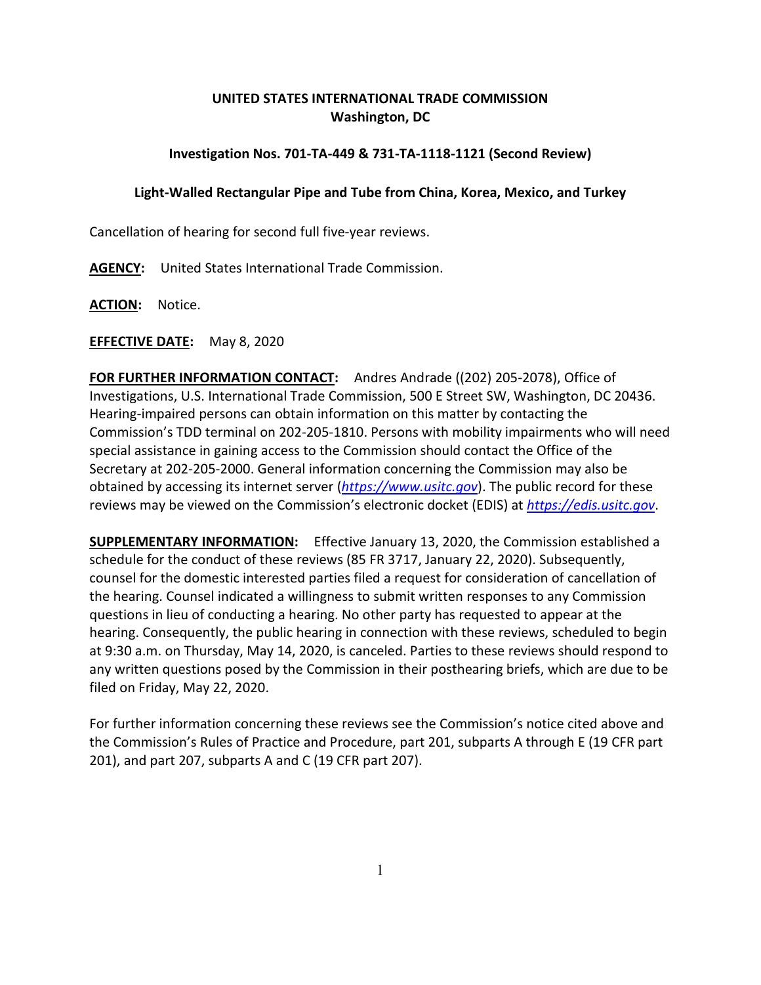## **UNITED STATES INTERNATIONAL TRADE COMMISSION Washington, DC**

## **Investigation Nos. 701-TA-449 & 731-TA-1118-1121 (Second Review)**

## **Light-Walled Rectangular Pipe and Tube from China, Korea, Mexico, and Turkey**

Cancellation of hearing for second full five-year reviews.

**AGENCY:** United States International Trade Commission.

**ACTION:** Notice.

**EFFECTIVE DATE:** May 8, 2020

**FOR FURTHER INFORMATION CONTACT:** Andres Andrade ((202) 205-2078), Office of Investigations, U.S. International Trade Commission, 500 E Street SW, Washington, DC 20436. Hearing-impaired persons can obtain information on this matter by contacting the Commission's TDD terminal on 202-205-1810. Persons with mobility impairments who will need special assistance in gaining access to the Commission should contact the Office of the Secretary at 202-205-2000. General information concerning the Commission may also be obtained by accessing its internet server (*[https://www.usitc.gov](https://www.usitc.gov/)*). The public record for these reviews may be viewed on the Commission's electronic docket (EDIS) at *[https://edis.usitc.gov](https://edis.usitc.gov/)*.

**SUPPLEMENTARY INFORMATION:** Effective January 13, 2020, the Commission established a schedule for the conduct of these reviews (85 FR 3717, January 22, 2020). Subsequently, counsel for the domestic interested parties filed a request for consideration of cancellation of the hearing. Counsel indicated a willingness to submit written responses to any Commission questions in lieu of conducting a hearing. No other party has requested to appear at the hearing. Consequently, the public hearing in connection with these reviews, scheduled to begin at 9:30 a.m. on Thursday, May 14, 2020, is canceled. Parties to these reviews should respond to any written questions posed by the Commission in their posthearing briefs, which are due to be filed on Friday, May 22, 2020.

For further information concerning these reviews see the Commission's notice cited above and the Commission's Rules of Practice and Procedure, part 201, subparts A through E (19 CFR part 201), and part 207, subparts A and C (19 CFR part 207).